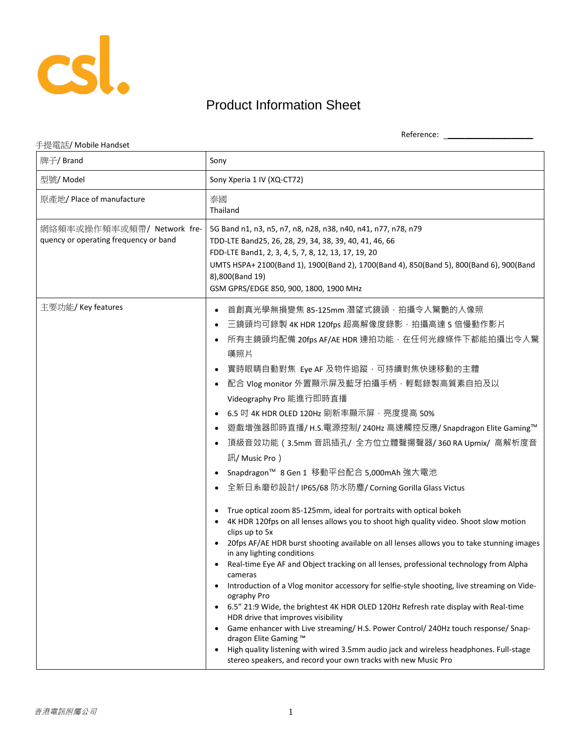

## Product Information Sheet

Reference: \_\_\_\_\_\_\_\_\_\_\_\_\_\_\_\_\_\_\_\_

## 手提電話/ Mobile Handset

| 牌子/ Brand                                                           | Sony                                                                                                                                                                                                                                                                                                                                                                                                                                                                                                                                                                                                                                                                                                                                                                                                                                                                                                                                                                                                                                                                                                                                                                                                                                                                                                                                                                                                                                                                                                                                                                                                                                                              |
|---------------------------------------------------------------------|-------------------------------------------------------------------------------------------------------------------------------------------------------------------------------------------------------------------------------------------------------------------------------------------------------------------------------------------------------------------------------------------------------------------------------------------------------------------------------------------------------------------------------------------------------------------------------------------------------------------------------------------------------------------------------------------------------------------------------------------------------------------------------------------------------------------------------------------------------------------------------------------------------------------------------------------------------------------------------------------------------------------------------------------------------------------------------------------------------------------------------------------------------------------------------------------------------------------------------------------------------------------------------------------------------------------------------------------------------------------------------------------------------------------------------------------------------------------------------------------------------------------------------------------------------------------------------------------------------------------------------------------------------------------|
| 型號/ Model                                                           | Sony Xperia 1 IV (XQ-CT72)                                                                                                                                                                                                                                                                                                                                                                                                                                                                                                                                                                                                                                                                                                                                                                                                                                                                                                                                                                                                                                                                                                                                                                                                                                                                                                                                                                                                                                                                                                                                                                                                                                        |
| 原產地/ Place of manufacture                                           | 泰國<br>Thailand                                                                                                                                                                                                                                                                                                                                                                                                                                                                                                                                                                                                                                                                                                                                                                                                                                                                                                                                                                                                                                                                                                                                                                                                                                                                                                                                                                                                                                                                                                                                                                                                                                                    |
| 網絡頻率或操作頻率或頻帶/ Network fre-<br>quency or operating frequency or band | 5G Band n1, n3, n5, n7, n8, n28, n38, n40, n41, n77, n78, n79<br>TDD-LTE Band25, 26, 28, 29, 34, 38, 39, 40, 41, 46, 66<br>FDD-LTE Band1, 2, 3, 4, 5, 7, 8, 12, 13, 17, 19, 20<br>UMTS HSPA+ 2100(Band 1), 1900(Band 2), 1700(Band 4), 850(Band 5), 800(Band 6), 900(Band<br>8),800(Band 19)<br>GSM GPRS/EDGE 850, 900, 1800, 1900 MHz                                                                                                                                                                                                                                                                                                                                                                                                                                                                                                                                                                                                                                                                                                                                                                                                                                                                                                                                                                                                                                                                                                                                                                                                                                                                                                                            |
| 主要功能/ Key features                                                  | 首創真光學無損變焦 85-125mm 潛望式鏡頭,拍攝令人驚艷的人像照<br>$\bullet$<br>三鏡頭均可錄製 4K HDR 120fps 超高解像度錄影, 拍攝高達 5 倍慢動作影片<br>$\bullet$<br>所有主鏡頭均配備 20fps AF/AE HDR 連拍功能, 在任何光線條件下都能拍攝出令人驚<br>$\bullet$<br>嘆照片<br>實時眼睛自動對焦 Eye AF 及物件追蹤,可持續對焦快速移動的主體<br>$\bullet$<br>配合 Vlog monitor 外置顯示屏及藍牙拍攝手柄,輕鬆錄製高質素自拍及以<br>$\bullet$<br>Videography Pro 能進行即時直播<br>6.5 吋 4K HDR OLED 120Hz 刷新率顯示屏, 亮度提高 50%<br>$\bullet$<br>遊戲增強器即時直播/H.S.電源控制/240Hz 高速觸控反應/Snapdragon Elite Gaming™<br>$\bullet$<br>頂級音效功能 (3.5mm 音訊插孔/ 全方位立體聲揚聲器/360 RA Upmix/ 高解析度音<br>$\bullet$<br>訊/ Music Pro )<br>Snapdragon™ 8 Gen 1 移動平台配合 5,000mAh 強大電池<br>$\bullet$<br>全新日系磨砂設計/IP65/68 防水防塵/ Corning Gorilla Glass Victus<br>True optical zoom 85-125mm, ideal for portraits with optical bokeh<br>$\bullet$<br>4K HDR 120fps on all lenses allows you to shoot high quality video. Shoot slow motion<br>$\bullet$<br>clips up to 5x<br>20fps AF/AE HDR burst shooting available on all lenses allows you to take stunning images<br>in any lighting conditions<br>Real-time Eye AF and Object tracking on all lenses, professional technology from Alpha<br>cameras<br>Introduction of a Vlog monitor accessory for selfie-style shooting, live streaming on Vide-<br>٠<br>ography Pro<br>6.5" 21:9 Wide, the brightest 4K HDR OLED 120Hz Refresh rate display with Real-time<br>$\bullet$<br>HDR drive that improves visibility<br>Game enhancer with Live streaming/ H.S. Power Control/ 240Hz touch response/ Snap-<br>dragon Elite Gaming ™<br>High quality listening with wired 3.5mm audio jack and wireless headphones. Full-stage<br>$\bullet$<br>stereo speakers, and record your own tracks with new Music Pro |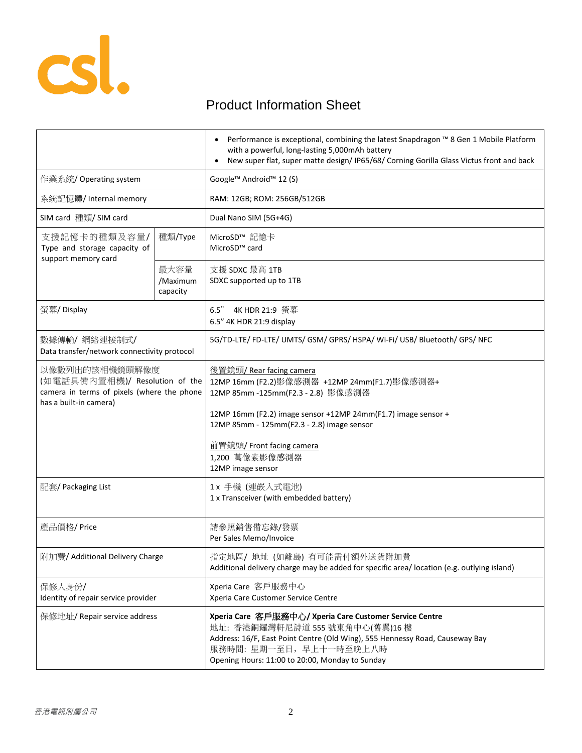

## Product Information Sheet

|                                                                                                                          |                              | Performance is exceptional, combining the latest Snapdragon ™ 8 Gen 1 Mobile Platform<br>$\bullet$<br>with a powerful, long-lasting 5,000mAh battery<br>New super flat, super matte design/ IP65/68/ Corning Gorilla Glass Victus front and back<br>$\bullet$ |
|--------------------------------------------------------------------------------------------------------------------------|------------------------------|---------------------------------------------------------------------------------------------------------------------------------------------------------------------------------------------------------------------------------------------------------------|
| 作業系統/ Operating system                                                                                                   |                              | Google™ Android™ 12 (S)                                                                                                                                                                                                                                       |
| 系統記憶體/Internal memory                                                                                                    |                              | RAM: 12GB; ROM: 256GB/512GB                                                                                                                                                                                                                                   |
| SIM card 種類/ SIM card                                                                                                    |                              | Dual Nano SIM (5G+4G)                                                                                                                                                                                                                                         |
| 支援記憶卡的種類及容量/<br>Type and storage capacity of<br>support memory card                                                      | 種類/Type                      | MicroSD™ 記憶卡<br>MicroSD <sup>™</sup> card                                                                                                                                                                                                                     |
|                                                                                                                          | 最大容量<br>/Maximum<br>capacity | 支援 SDXC 最高 1TB<br>SDXC supported up to 1TB                                                                                                                                                                                                                    |
| 螢幕/ Display                                                                                                              |                              | 6.5" 4K HDR 21:9 螢幕<br>6.5" 4K HDR 21:9 display                                                                                                                                                                                                               |
| 數據傳輸/網絡連接制式/<br>Data transfer/network connectivity protocol                                                              |                              | 5G/TD-LTE/ FD-LTE/ UMTS/ GSM/ GPRS/ HSPA/ Wi-Fi/ USB/ Bluetooth/ GPS/ NFC                                                                                                                                                                                     |
| 以像數列出的該相機鏡頭解像度<br>(如電話具備內置相機)/ Resolution of the<br>camera in terms of pixels (where the phone<br>has a built-in camera) |                              | 後置鏡頭/ Rear facing camera<br>12MP 16mm (F2.2)影像感測器 +12MP 24mm(F1.7)影像感測器+<br>12MP 85mm -125mm(F2.3 - 2.8) 影像感測器                                                                                                                                                |
|                                                                                                                          |                              | 12MP 16mm (F2.2) image sensor +12MP 24mm (F1.7) image sensor +<br>12MP 85mm - 125mm(F2.3 - 2.8) image sensor                                                                                                                                                  |
|                                                                                                                          |                              | 前置鏡頭/ Front facing camera<br>1,200 萬像素影像感測器<br>12MP image sensor                                                                                                                                                                                              |
| 配套/ Packaging List                                                                                                       |                              | 1x 手機 (連嵌入式電池)<br>1 x Transceiver (with embedded battery)                                                                                                                                                                                                     |
| 產品價格/Price                                                                                                               |                              | 請參照銷售備忘錄/發票<br>Per Sales Memo/Invoice                                                                                                                                                                                                                         |
| 附加費/ Additional Delivery Charge                                                                                          |                              | 指定地區/ 地址 (如離島) 有可能需付額外送貨附加費<br>Additional delivery charge may be added for specific area/ location (e.g. outlying island)                                                                                                                                     |
| 保修人身份/<br>Identity of repair service provider                                                                            |                              | Xperia Care 客戶服務中心<br>Xperia Care Customer Service Centre                                                                                                                                                                                                     |
| 保修地址/ Repair service address                                                                                             |                              | Xperia Care 客戶服務中心/ Xperia Care Customer Service Centre<br>地址: 香港銅鑼灣軒尼詩道 555 號東角中心(舊翼)16樓<br>Address: 16/F, East Point Centre (Old Wing), 555 Hennessy Road, Causeway Bay<br>服務時間: 星期一至日, 早上十一時至晚上八時<br>Opening Hours: 11:00 to 20:00, Monday to Sunday       |